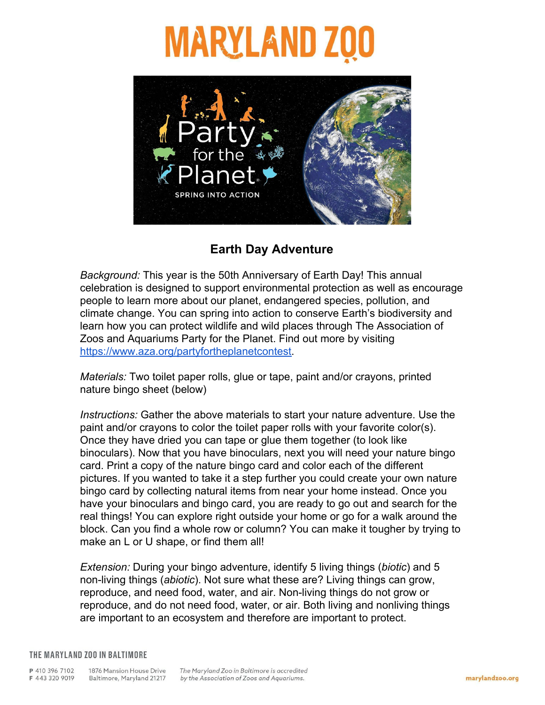# **MARYLAND Z**



### **Earth Day Adventure**

*Background:* This year is the 50th Anniversary of Earth Day! This annual celebration is designed to support environmental protection as well as encourage people to learn more about our planet, endangered species, pollution, and climate change. You can spring into action to conserve Earth's biodiversity and learn how you can protect wildlife and wild places through The Association of Zoos and Aquariums Party for the Planet. Find out more by visiting [https://www.aza.org/partyfortheplanetcontest.](https://www.aza.org/partyfortheplanetcontest)

*Materials:* Two toilet paper rolls, glue or tape, paint and/or crayons, printed nature bingo sheet (below)

*Instructions:* Gather the above materials to start your nature adventure. Use the paint and/or crayons to color the toilet paper rolls with your favorite color(s). Once they have dried you can tape or glue them together (to look like binoculars). Now that you have binoculars, next you will need your nature bingo card. Print a copy of the nature bingo card and color each of the different pictures. If you wanted to take it a step further you could create your own nature bingo card by collecting natural items from near your home instead. Once you have your binoculars and bingo card, you are ready to go out and search for the real things! You can explore right outside your home or go for a walk around the block. Can you find a whole row or column? You can make it tougher by trying to make an L or U shape, or find them all!

*Extension:* During your bingo adventure, identify 5 living things (*biotic*) and 5 non-living things (*abiotic*). Not sure what these are? Living things can grow, reproduce, and need food, water, and air. Non-living things do not grow or reproduce, and do not need food, water, or air. Both living and nonliving things are important to an ecosystem and therefore are important to protect.

### THE MARYLAND ZOO IN BALTIMORE